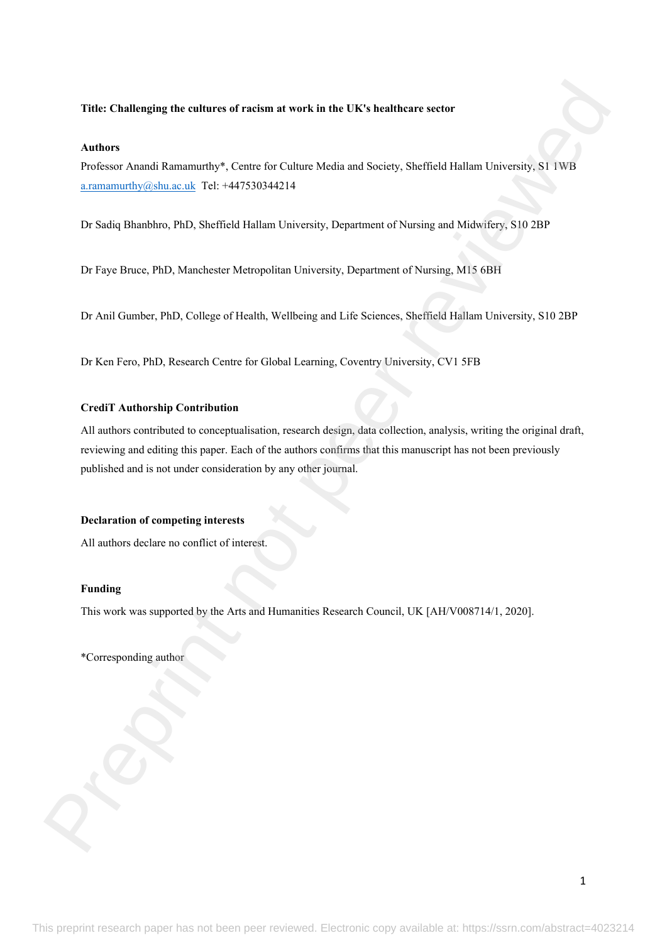# **Title: Challenging the cultures of racism at work in the UK's healthcare sector**

#### **Authors**

Professor Anandi Ramamurthy\*, Centre for Culture Media and Society, Sheffield Hallam University, S1 1WB a.ramamurthy@shu.ac.uk Tel: +447530344214

Dr Sadiq Bhanbhro, PhD, Sheffield Hallam University, Department of Nursing and Midwifery, S10 2BP

Dr Faye Bruce, PhD, Manchester Metropolitan University, Department of Nursing, M15 6BH

Dr Anil Gumber, PhD, College of Health, Wellbeing and Life Sciences, Sheffield Hallam University, S10 2BP

Dr Ken Fero, PhD, Research Centre for Global Learning, Coventry University, CV1 5FB

#### **CrediT Authorship Contribution**

All authors contributed to conceptualisation, research design, data collection, analysis, writing the original draft, reviewing and editing this paper. Each of the authors confirms that this manuscript has not been previously published and is not under consideration by any other journal. Trille: Challenging the cultures of raction at work in the HRS healthcare corner<br>Authors<br>
Nuthors<br>
Preference Australian Banamarity S. Centes for Gallary Mechanics Society. Shuffield Hallam University, \$1 DVB<br>
canonically

# **Declaration of competing interests**

All authors declare no conflict of interest.

# **Funding**

This work was supported by the Arts and Humanities Research Council, UK [AH/V008714/1, 2020].

\*Corresponding author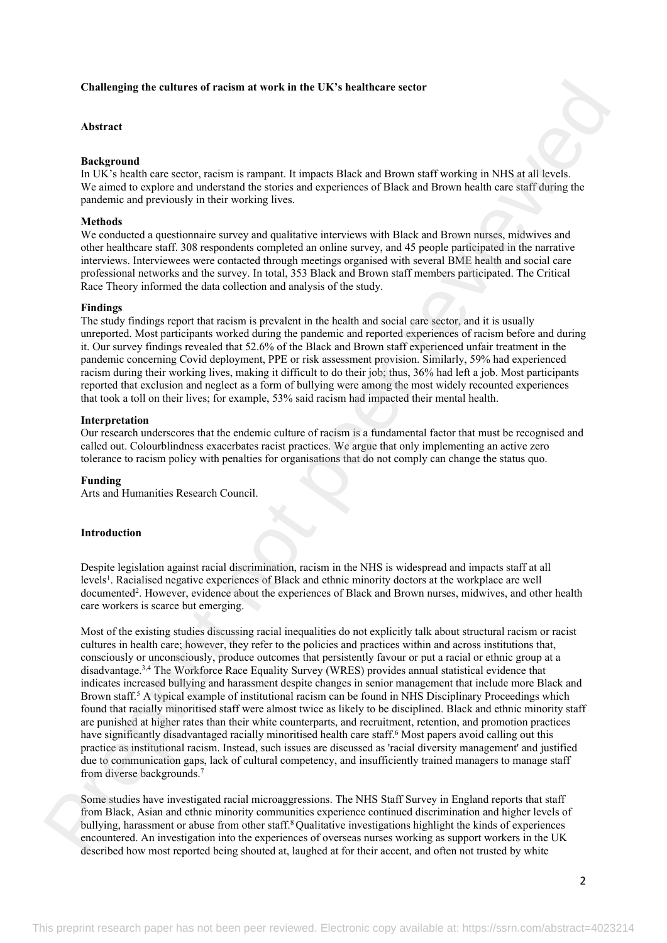### **Challenging the cultures of racism at work in the UK's healthcare sector**

#### **Abstract**

# **Background**

In UK's health care sector, racism is rampant. It impacts Black and Brown staff working in NHS at all levels. We aimed to explore and understand the stories and experiences of Black and Brown health care staff during the pandemic and previously in their working lives.

#### **Methods**

We conducted a questionnaire survey and qualitative interviews with Black and Brown nurses, midwives and other healthcare staff. 308 respondents completed an online survey, and 45 people participated in the narrative interviews. Interviewees were contacted through meetings organised with several BME health and social care professional networks and the survey. In total, 353 Black and Brown staff members participated. The Critical Race Theory informed the data collection and analysis of the study.

#### **Findings**

The study findings report that racism is prevalent in the health and social care sector, and it is usually unreported. Most participants worked during the pandemic and reported experiences of racism before and during it. Our survey findings revealed that 52.6% of the Black and Brown staff experienced unfair treatment in the pandemic concerning Covid deployment, PPE or risk assessment provision. Similarly, 59% had experienced racism during their working lives, making it difficult to do their job; thus, 36% had left a job. Most participants reported that exclusion and neglect as a form of bullying were among the most widely recounted experiences that took a toll on their lives; for example, 53% said racism had impacted their mental health.

#### **Interpretation**

Our research underscores that the endemic culture of racism is a fundamental factor that must be recognised and called out. Colourblindness exacerbates racist practices. We argue that only implementing an active zero tolerance to racism policy with penalties for organisations that do not comply can change the status quo.

#### **Funding**

Arts and Humanities Research Council.

# **Introduction**

Despite legislation against racial discrimination, racism in the NHS is widespread and impacts staff at all levels<sup>1</sup>. Racialised negative experiences of Black and ethnic minority doctors at the workplace are well documented<sup>2</sup> . However, evidence about the experiences of Black and Brown nurses, midwives, and other health care workers is scarce but emerging.

Most of the existing studies discussing racial inequalities do not explicitly talk about structural racism or racist cultures in health care; however, they refer to the policies and practices within and across institutions that, consciously or unconsciously, produce outcomes that persistently favour or put a racial or ethnic group at a disadvantage.3,4 The Workforce Race Equality Survey (WRES) provides annual statistical evidence that indicates increased bullying and harassment despite changes in senior management that include more Black and Brown staff.<sup>5</sup> A typical example of institutional racism can be found in NHS Disciplinary Proceedings which found that racially minoritised staff were almost twice as likely to be disciplined. Black and ethnic minority staff are punished at higher rates than their white counterparts, and recruitment, retention, and promotion practices have significantly disadvantaged racially minoritised health care staff.<sup>6</sup> Most papers avoid calling out this practice as institutional racism. Instead, such issues are discussed as 'racial diversity management' and justified due to communication gaps, lack of cultural competency, and insufficiently trained managers to manage staff from diverse backgrounds.<sup>7</sup> **Challenging the cultures of reachimal work in the CK's healthcare sector<br>
Abstract<br>
Background consistent method and many introduced silent and phone and is well as the SS at discussed<br>
Method is a present of the state a** 

Some studies have investigated racial microaggressions. The NHS Staff Survey in England reports that staff from Black, Asian and ethnic minority communities experience continued discrimination and higher levels of bullying, harassment or abuse from other staff.<sup>8</sup>Qualitative investigations highlight the kinds of experiences encountered. An investigation into the experiences of overseas nurses working as support workers in the UK described how most reported being shouted at, laughed at for their accent, and often not trusted by white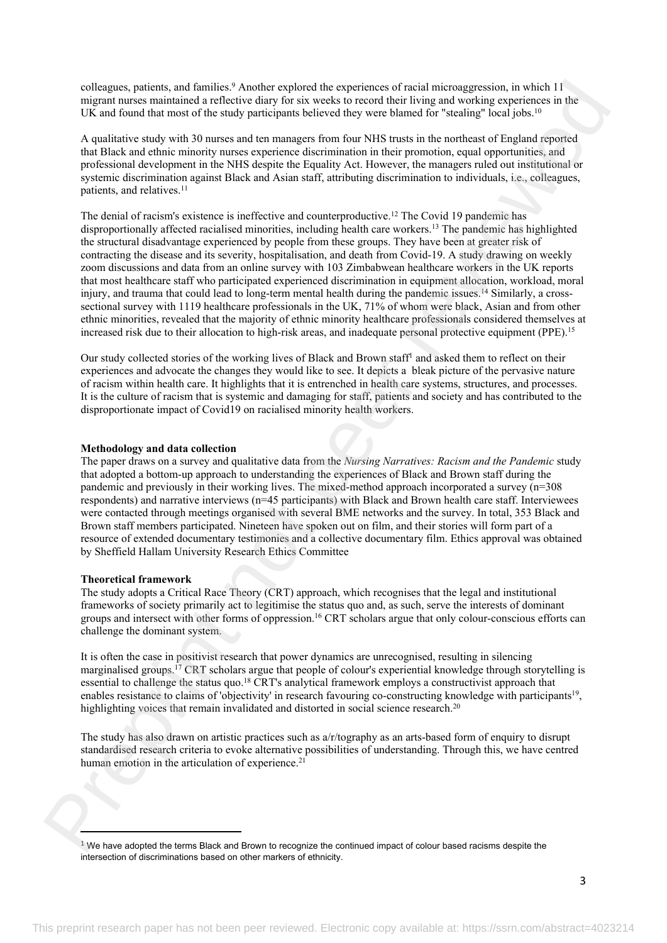colleagues, patients, and families.<sup>9</sup> Another explored the experiences of racial microaggression, in which 11 migrant nurses maintained a reflective diary for six weeks to record their living and working experiences in the UK and found that most of the study participants believed they were blamed for "stealing" local jobs.<sup>10</sup>

A qualitative study with 30 nurses and ten managers from four NHS trusts in the northeast of England reported that Black and ethnic minority nurses experience discrimination in their promotion, equal opportunities, and professional development in the NHS despite the Equality Act. However, the managers ruled out institutional or systemic discrimination against Black and Asian staff, attributing discrimination to individuals, i.e., colleagues, patients, and relatives.<sup>11</sup>

The denial of racism's existence is ineffective and counterproductive.<sup>12</sup> The Covid 19 pandemic has disproportionally affected racialised minorities, including health care workers.<sup>13</sup> The pandemic has highlighted the structural disadvantage experienced by people from these groups. They have been at greater risk of contracting the disease and its severity, hospitalisation, and death from Covid-19. A study drawing on weekly zoom discussions and data from an online survey with 103 Zimbabwean healthcare workers in the UK reports that most healthcare staff who participated experienced discrimination in equipment allocation, workload, moral injury, and trauma that could lead to long-term mental health during the pandemic issues.<sup>14</sup> Similarly, a crosssectional survey with 1119 healthcare professionals in the UK, 71% of whom were black, Asian and from other ethnic minorities, revealed that the majority of ethnic minority healthcare professionals considered themselves at increased risk due to their allocation to high-risk areas, and inadequate personal protective equipment (PPE).<sup>15</sup> solving, as person, and interded in the material control are the material model in the second of the second of the second of the second of the second of the second of the second of the second of the second of the second o

Our study collected stories of the working lives of Black and Brown staff<sup>1</sup> and asked them to reflect on their experiences and advocate the changes they would like to see. It depicts a bleak picture of the pervasive nature of racism within health care. It highlights that it is entrenched in health care systems, structures, and processes. It is the culture of racism that is systemic and damaging for staff, patients and society and has contributed to the disproportionate impact of Covid19 on racialised minority health workers.

#### **Methodology and data collection**

The paper draws on a survey and qualitative data from the *Nursing Narratives: Racism and the Pandemic* study that adopted a bottom-up approach to understanding the experiences of Black and Brown staff during the pandemic and previously in their working lives. The mixed-method approach incorporated a survey (n=308 respondents) and narrative interviews (n=45 participants) with Black and Brown health care staff. Interviewees were contacted through meetings organised with several BME networks and the survey. In total, 353 Black and Brown staff members participated. Nineteen have spoken out on film, and their stories will form part of a resource of extended documentary testimonies and a collective documentary film. Ethics approval was obtained by Sheffield Hallam University Research Ethics Committee

#### **Theoretical framework**

The study adopts a Critical Race Theory (CRT) approach, which recognises that the legal and institutional frameworks of society primarily act to legitimise the status quo and, as such, serve the interests of dominant groups and intersect with other forms of oppression.<sup>16</sup> CRT scholars argue that only colour-conscious efforts can challenge the dominant system.

It is often the case in positivist research that power dynamics are unrecognised, resulting in silencing marginalised groups.<sup>17</sup> CRT scholars argue that people of colour's experiential knowledge through storytelling is essential to challenge the status quo.<sup>18</sup> CRT's analytical framework employs a constructivist approach that enables resistance to claims of 'objectivity' in research favouring co-constructing knowledge with participants<sup>19</sup>, highlighting voices that remain invalidated and distorted in social science research.<sup>20</sup>

The study has also drawn on artistic practices such as a/r/tography as an arts-based form of enquiry to disrupt standardised research criteria to evoke alternative possibilities of understanding. Through this, we have centred human emotion in the articulation of experience.<sup>21</sup>

 $1$  We have adopted the terms Black and Brown to recognize the continued impact of colour based racisms despite the intersection of discriminations based on other markers of ethnicity.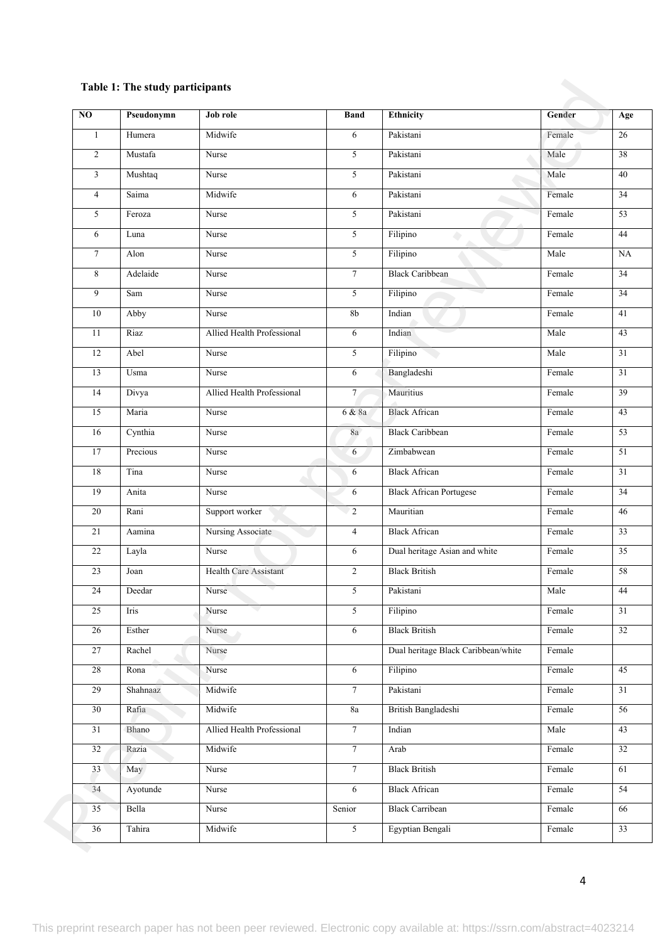# **Table 1: The study participants**

| $\overline{NO}$ | Pseudonymn | Job role                     | <b>Band</b>    | Ethnicity                           | Gender | Age             |
|-----------------|------------|------------------------------|----------------|-------------------------------------|--------|-----------------|
| $\mathbf{1}$    | Humera     | Midwife                      | 6              | Pakistani                           | Female | 26              |
| $\overline{2}$  | Mustafa    | Nurse                        | 5              | Pakistani                           | Male   | 38              |
| $\mathfrak{Z}$  | Mushtaq    | Nurse                        | 5              | Pakistani                           | Male   | 40              |
| $\overline{4}$  | Saima      | Midwife                      | 6              | Pakistani                           | Female | $\overline{34}$ |
| 5               | Feroza     | Nurse                        | 5              | Pakistani                           | Female | $\overline{53}$ |
| 6               | Luna       | Nurse                        | 5              | Filipino                            | Female | 44              |
| $7\phantom{.0}$ | Alon       | Nurse                        | 5              | Filipino                            | Male   | NA              |
| $\,8\,$         | Adelaide   | Nurse                        | $\overline{7}$ | <b>Black Caribbean</b>              | Female | 34              |
| 9               | Sam        | Nurse                        | 5              | Filipino                            | Female | 34              |
| 10              | Abby       | Nurse                        | 8 <sub>b</sub> | Indian                              | Female | $\overline{41}$ |
| 11              | Riaz       | Allied Health Professional   | 6              | Indian                              | Male   | 43              |
| 12              | Abel       | Nurse                        | 5              | Filipino                            | Male   | 31              |
| 13              | Usma       | Nurse                        | 6              | Bangladeshi                         | Female | $\overline{31}$ |
| 14              | Divya      | Allied Health Professional   | $\overline{7}$ | Mauritius                           | Female | $\overline{39}$ |
| 15              | Maria      | Nurse                        | 6 & 8a         | <b>Black African</b>                | Female | $\overline{43}$ |
| 16              | Cynthia    | Nurse                        | 8a             | <b>Black Caribbean</b>              | Female | $\overline{53}$ |
| 17              | Precious   | Nurse                        | 6              | Zimbabwean                          | Female | $\overline{51}$ |
| 18              | Tina       | Nurse                        | 6              | <b>Black African</b>                | Female | $\overline{31}$ |
| 19              | Anita      | Nurse                        | 6              | <b>Black African Portugese</b>      | Female | $\overline{34}$ |
| 20              | Rani       | Support worker               | $\overline{2}$ | Mauritian                           | Female | 46              |
| 21              | Aamina     | Nursing Associate            | $\overline{4}$ | <b>Black African</b>                | Female | 33              |
| 22              | Layla      | Nurse                        | 6              | Dual heritage Asian and white       | Female | 35              |
| 23              | Joan       | <b>Health Care Assistant</b> | $\overline{c}$ | <b>Black British</b>                | Female | 58              |
| 24              | Deedar     | Nurse                        | 5 <sup>5</sup> | Pakistani                           | Male   | 44              |
| 25              | Iris       | Nurse                        | $\overline{5}$ | Filipino                            | Female | 31              |
| 26              | Esther     | Nurse                        | 6              | <b>Black British</b>                | Female | 32              |
| 27              | Rachel     | Nurse                        |                | Dual heritage Black Caribbean/white | Female |                 |
| 28              | Rona       | Nurse                        | 6              | Filipino                            | Female | 45              |
| 29              | Shahnaaz   | Midwife                      | $\overline{7}$ | Pakistani                           | Female | 31              |
| 30              | Rafia      | Midwife                      | $8\mathrm{a}$  | <b>British Bangladeshi</b>          | Female | 56              |
| 31              | Bhano      | Allied Health Professional   | $\overline{7}$ | Indian                              | Male   | 43              |
| 32              | Razia      | Midwife                      | $\overline{7}$ | Arab                                | Female | $\overline{32}$ |
| 33              | May        | Nurse                        | $\overline{7}$ | <b>Black British</b>                | Female | 61              |
| 34              | Ayotunde   | Nurse                        | 6              | <b>Black African</b>                | Female | $\overline{54}$ |
| 35              | Bella      | Nurse                        | Senior         | <b>Black Carribean</b>              | Female | 66              |
| 36              | Tahira     | Midwife                      | $\overline{5}$ | Egyptian Bengali                    | Female | 33              |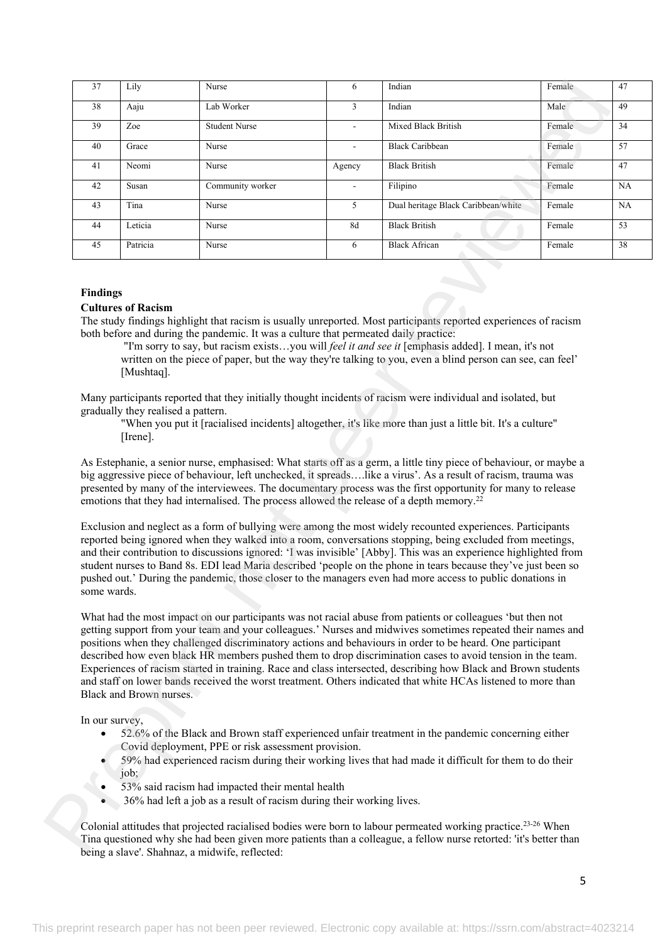| 38             |                                                              | Nurse                                                                                                 | 6              | Indian                                                                                                                                                                                                                                                                                                                                                                                                                                                                                                                                                                                                                                                                                    | Female | 47 |
|----------------|--------------------------------------------------------------|-------------------------------------------------------------------------------------------------------|----------------|-------------------------------------------------------------------------------------------------------------------------------------------------------------------------------------------------------------------------------------------------------------------------------------------------------------------------------------------------------------------------------------------------------------------------------------------------------------------------------------------------------------------------------------------------------------------------------------------------------------------------------------------------------------------------------------------|--------|----|
|                | Aaju                                                         | Lab Worker                                                                                            | $\mathfrak{Z}$ | Indian                                                                                                                                                                                                                                                                                                                                                                                                                                                                                                                                                                                                                                                                                    | Male   | 49 |
| 39             | Zoe                                                          | <b>Student Nurse</b>                                                                                  | $\overline{a}$ | Mixed Black British                                                                                                                                                                                                                                                                                                                                                                                                                                                                                                                                                                                                                                                                       | Female | 34 |
| 40             | Grace                                                        | Nurse                                                                                                 |                | <b>Black Caribbean</b>                                                                                                                                                                                                                                                                                                                                                                                                                                                                                                                                                                                                                                                                    | Female | 57 |
| 41             | Neomi                                                        | Nurse                                                                                                 | Agency         | <b>Black British</b>                                                                                                                                                                                                                                                                                                                                                                                                                                                                                                                                                                                                                                                                      | Female | 47 |
| 42             | Susan                                                        | Community worker                                                                                      |                | Filipino                                                                                                                                                                                                                                                                                                                                                                                                                                                                                                                                                                                                                                                                                  | Female | NA |
| 43             | Tina                                                         | Nurse                                                                                                 | 5              | Dual heritage Black Caribbean/white                                                                                                                                                                                                                                                                                                                                                                                                                                                                                                                                                                                                                                                       | Female | NA |
| 44             | Leticia                                                      | Nurse                                                                                                 | 8d             | <b>Black British</b>                                                                                                                                                                                                                                                                                                                                                                                                                                                                                                                                                                                                                                                                      | Female | 53 |
| 45             | Patricia                                                     | Nurse                                                                                                 | 6              | <b>Black African</b>                                                                                                                                                                                                                                                                                                                                                                                                                                                                                                                                                                                                                                                                      | Female | 38 |
|                | [Mushtaq].<br>gradually they realised a pattern.<br>[Irene]. |                                                                                                       |                | "I'm sorry to say, but racism existsyou will <i>feel it and see it</i> [emphasis added]. I mean, it's not<br>written on the piece of paper, but the way they're talking to you, even a blind person can see, can feel'<br>Many participants reported that they initially thought incidents of racism were individual and isolated, but<br>"When you put it [racialised incidents] altogether, it's like more than just a little bit. It's a culture"                                                                                                                                                                                                                                      |        |    |
|                |                                                              |                                                                                                       |                | As Estephanie, a senior nurse, emphasised: What starts off as a germ, a little tiny piece of behaviour, or maybe a<br>big aggressive piece of behaviour, left unchecked, it spreadslike a virus'. As a result of racism, trauma was<br>presented by many of the interviewees. The documentary process was the first opportunity for many to release                                                                                                                                                                                                                                                                                                                                       |        |    |
|                |                                                              | emotions that they had internalised. The process allowed the release of a depth memory. <sup>22</sup> |                | Exclusion and neglect as a form of bullying were among the most widely recounted experiences. Participants<br>reported being ignored when they walked into a room, conversations stopping, being excluded from meetings,<br>and their contribution to discussions ignored: 'I was invisible' [Abby]. This was an experience highlighted from<br>student nurses to Band 8s. EDI lead Maria described 'people on the phone in tears because they've just been so<br>pushed out.' During the pandemic, those closer to the managers even had more access to public donations in                                                                                                              |        |    |
| some wards.    |                                                              |                                                                                                       |                |                                                                                                                                                                                                                                                                                                                                                                                                                                                                                                                                                                                                                                                                                           |        |    |
|                | Black and Brown nurses.                                      |                                                                                                       |                | What had the most impact on our participants was not racial abuse from patients or colleagues 'but then not<br>getting support from your team and your colleagues.' Nurses and midwives sometimes repeated their names and<br>positions when they challenged discriminatory actions and behaviours in order to be heard. One participant<br>described how even black HR members pushed them to drop discrimination cases to avoid tension in the team.<br>Experiences of racism started in training. Race and class intersected, describing how Black and Brown students<br>and staff on lower bands received the worst treatment. Others indicated that white HCAs listened to more than |        |    |
| In our survey, |                                                              | Covid deployment, PPE or risk assessment provision.                                                   |                | 52.6% of the Black and Brown staff experienced unfair treatment in the pandemic concerning either<br>59% had experienced racism during their working lives that had made it difficult for them to do their                                                                                                                                                                                                                                                                                                                                                                                                                                                                                |        |    |
| $\bullet$      | job;                                                         | 53% said racism had impacted their mental health                                                      |                |                                                                                                                                                                                                                                                                                                                                                                                                                                                                                                                                                                                                                                                                                           |        |    |

# **Findings**

#### **Cultures of Racism**

- 52.6% of the Black and Brown staff experienced unfair treatment in the pandemic concerning either Covid deployment, PPE or risk assessment provision.
- 59% had experienced racism during their working lives that had made it difficult for them to do their iob:
- 53% said racism had impacted their mental health
- 36% had left a job as a result of racism during their working lives.

Colonial attitudes that projected racialised bodies were born to labour permeated working practice.23-26 When Tina questioned why she had been given more patients than a colleague, a fellow nurse retorted: 'it's better than being a slave'. Shahnaz, a midwife, reflected: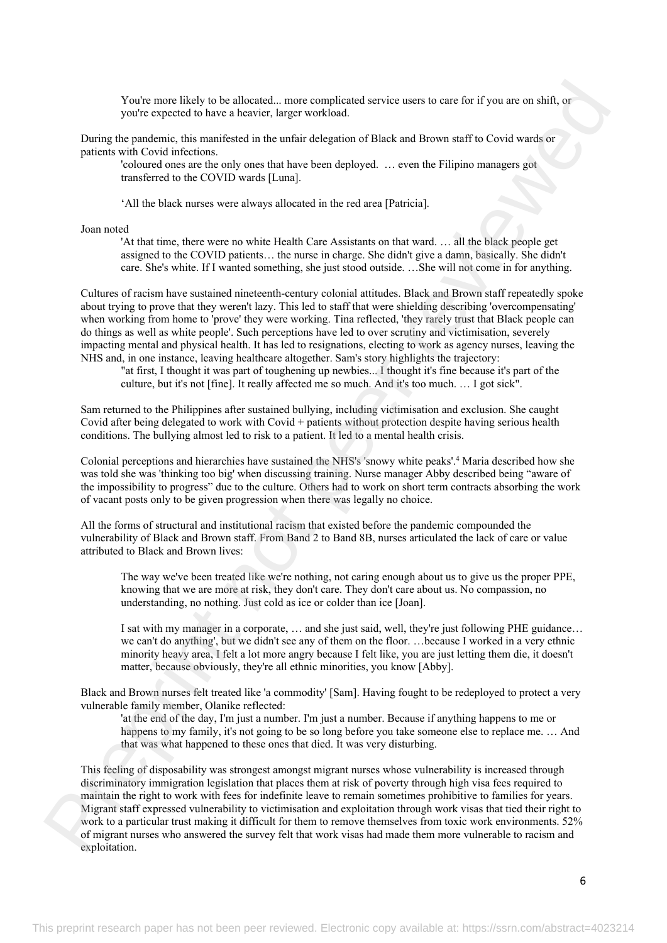You're more likely to be allocated... more complicated service users to care for if you are on shift, or you're expected to have a heavier, larger workload.

During the pandemic, this manifested in the unfair delegation of Black and Brown staff to Covid wards or patients with Covid infections.

'coloured ones are the only ones that have been deployed. … even the Filipino managers got transferred to the COVID wards [Luna].

'All the black nurses were always allocated in the red area [Patricia].

Joan noted

'At that time, there were no white Health Care Assistants on that ward. … all the black people get assigned to the COVID patients… the nurse in charge. She didn't give a damn, basically. She didn't care. She's white. If I wanted something, she just stood outside. …She will not come in for anything.

Cultures of racism have sustained nineteenth-century colonial attitudes. Black and Brown staff repeatedly spoke about trying to prove that they weren't lazy. This led to staff that were shielding describing 'overcompensating' when working from home to 'prove' they were working. Tina reflected, 'they rarely trust that Black people can do things as well as white people'. Such perceptions have led to over scrutiny and victimisation, severely impacting mental and physical health. It has led to resignations, electing to work as agency nurses, leaving the NHS and, in one instance, leaving healthcare altogether. Sam's story highlights the trajectory:

"at first, I thought it was part of toughening up newbies... I thought it's fine because it's part of the culture, but it's not [fine]. It really affected me so much. And it's too much. … I got sick".

Sam returned to the Philippines after sustained bullying, including victimisation and exclusion. She caught Covid after being delegated to work with Covid + patients without protection despite having serious health conditions. The bullying almost led to risk to a patient. It led to a mental health crisis.

Colonial perceptions and hierarchies have sustained the NHS's 'snowy white peaks'.<sup>4</sup> Maria described how she was told she was 'thinking too big' when discussing training. Nurse manager Abby described being "aware of the impossibility to progress" due to the culture. Others had to work on short term contracts absorbing the work of vacant posts only to be given progression when there was legally no choice.

All the forms of structural and institutional racism that existed before the pandemic compounded the vulnerability of Black and Brown staff. From Band 2 to Band 8B, nurses articulated the lack of care or value attributed to Black and Brown lives:

The way we've been treated like we're nothing, not caring enough about us to give us the proper PPE, knowing that we are more at risk, they don't care. They don't care about us. No compassion, no understanding, no nothing. Just cold as ice or colder than ice [Joan].

I sat with my manager in a corporate, … and she just said, well, they're just following PHE guidance… we can't do anything', but we didn't see any of them on the floor. …because I worked in a very ethnic minority heavy area, I felt a lot more angry because I felt like, you are just letting them die, it doesn't matter, because obviously, they're all ethnic minorities, you know [Abby].

Black and Brown nurses felt treated like 'a commodity' [Sam]. Having fought to be redeployed to protect a very vulnerable family member, Olanike reflected:

'at the end of the day, I'm just a number. I'm just a number. Because if anything happens to me or happens to my family, it's not going to be so long before you take someone else to replace me. ... And that was what happened to these ones that died. It was very disturbing.

This feeling of disposability was strongest amongst migrant nurses whose vulnerability is increased through discriminatory immigration legislation that places them at risk of poverty through high visa fees required to maintain the right to work with fees for indefinite leave to remain sometimes prohibitive to families for years. Migrant staff expressed vulnerability to victimisation and exploitation through work visas that tied their right to work to a particular trust making it difficult for them to remove themselves from toxic work environments. 52% of migrant nurses who answered the survey felt that work visas had made them more vulnerable to racism and exploitation. Yeche mass lakely at be allowed a more emploined a arrive users to one lead by the absorption and the same results of the same results of the same results of the same reviewed in the same results of the same results of th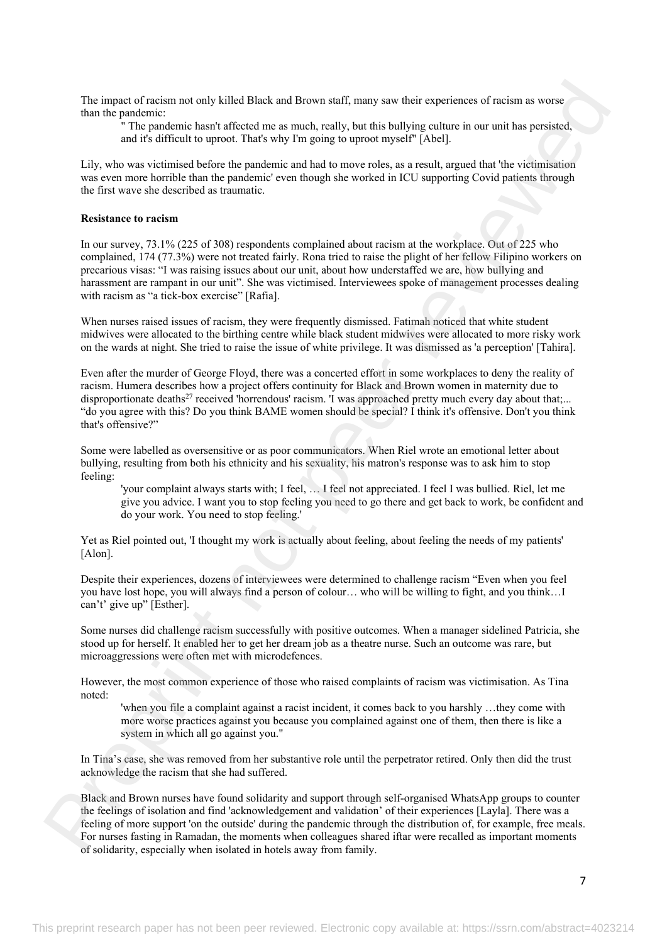The impact of racism not only killed Black and Brown staff, many saw their experiences of racism as worse than the pandemic:

" The pandemic hasn't affected me as much, really, but this bullying culture in our unit has persisted, and it's difficult to uproot. That's why I'm going to uproot myself" [Abel].

Lily, who was victimised before the pandemic and had to move roles, as a result, argued that 'the victimisation was even more horrible than the pandemic' even though she worked in ICU supporting Covid patients through the first wave she described as traumatic.

# **Resistance to racism**

In our survey, 73.1% (225 of 308) respondents complained about racism at the workplace. Out of 225 who complained, 174 (77.3%) were not treated fairly. Rona tried to raise the plight of her fellow Filipino workers on precarious visas: "I was raising issues about our unit, about how understaffed we are, how bullying and harassment are rampant in our unit". She was victimised. Interviewees spoke of management processes dealing with racism as "a tick-box exercise" [Rafia]. The impact of norient not only killed klicks and Brews such many are show operatores of a<br>cannot an interaction in the state of states an example, only and is a<br>big and interaction in the state of states and the state of

When nurses raised issues of racism, they were frequently dismissed. Fatimah noticed that white student midwives were allocated to the birthing centre while black student midwives were allocated to more risky work on the wards at night. She tried to raise the issue of white privilege. It was dismissed as 'a perception' [Tahira].

Even after the murder of George Floyd, there was a concerted effort in some workplaces to deny the reality of racism. Humera describes how a project offers continuity for Black and Brown women in maternity due to disproportionate deaths<sup>27</sup> received 'horrendous' racism. 'I was approached pretty much every day about that;... "do you agree with this? Do you think BAME women should be special? I think it's offensive. Don't you think that's offensive?"

Some were labelled as oversensitive or as poor communicators. When Riel wrote an emotional letter about bullying, resulting from both his ethnicity and his sexuality, his matron's response was to ask him to stop feeling:

'your complaint always starts with; I feel, … I feel not appreciated. I feel I was bullied. Riel, let me give you advice. I want you to stop feeling you need to go there and get back to work, be confident and do your work. You need to stop feeling.'

Yet as Riel pointed out, 'I thought my work is actually about feeling, about feeling the needs of my patients' [Alon].

Despite their experiences, dozens of interviewees were determined to challenge racism "Even when you feel you have lost hope, you will always find a person of colour… who will be willing to fight, and you think…I can't' give up" [Esther].

Some nurses did challenge racism successfully with positive outcomes. When a manager sidelined Patricia, she stood up for herself. It enabled her to get her dream job as a theatre nurse. Such an outcome was rare, but microaggressions were often met with microdefences.

However, the most common experience of those who raised complaints of racism was victimisation. As Tina noted:

'when you file a complaint against a racist incident, it comes back to you harshly …they come with more worse practices against you because you complained against one of them, then there is like a system in which all go against you."

In Tina's case, she was removed from her substantive role until the perpetrator retired. Only then did the trust acknowledge the racism that she had suffered.

Black and Brown nurses have found solidarity and support through self-organised WhatsApp groups to counter the feelings of isolation and find 'acknowledgement and validation' of their experiences [Layla]. There was a feeling of more support 'on the outside' during the pandemic through the distribution of, for example, free meals. For nurses fasting in Ramadan, the moments when colleagues shared iftar were recalled as important moments of solidarity, especially when isolated in hotels away from family.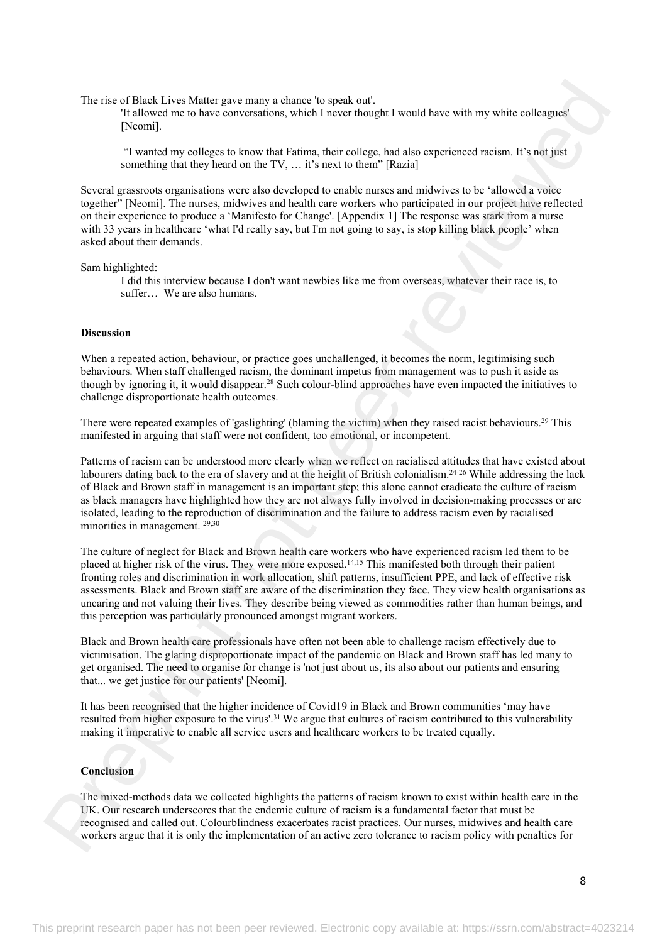The rise of Black Lives Matter gave many a chance 'to speak out'.

'It allowed me to have conversations, which I never thought I would have with my white colleagues' [Neomi].

 "I wanted my colleges to know that Fatima, their college, had also experienced racism. It's not just something that they heard on the TV, … it's next to them" [Razia]

Several grassroots organisations were also developed to enable nurses and midwives to be 'allowed a voice together" [Neomi]. The nurses, midwives and health care workers who participated in our project have reflected on their experience to produce a 'Manifesto for Change'. [Appendix 1] The response was stark from a nurse with 33 years in healthcare 'what I'd really say, but I'm not going to say, is stop killing black people' when asked about their demands.

Sam highlighted:

I did this interview because I don't want newbies like me from overseas, whatever their race is, to suffer… We are also humans.

#### **Discussion**

When a repeated action, behaviour, or practice goes unchallenged, it becomes the norm, legitimising such behaviours. When staff challenged racism, the dominant impetus from management was to push it aside as though by ignoring it, it would disappear.<sup>28</sup> Such colour-blind approaches have even impacted the initiatives to challenge disproportionate health outcomes.

There were repeated examples of 'gaslighting' (blaming the victim) when they raised racist behaviours.<sup>29</sup> This manifested in arguing that staff were not confident, too emotional, or incompetent.

Patterns of racism can be understood more clearly when we reflect on racialised attitudes that have existed about labourers dating back to the era of slavery and at the height of British colonialism.24-26 While addressing the lack of Black and Brown staff in management is an important step; this alone cannot eradicate the culture of racism as black managers have highlighted how they are not always fully involved in decision-making processes or are isolated, leading to the reproduction of discrimination and the failure to address racism even by racialised minorities in management. 29,30

The culture of neglect for Black and Brown health care workers who have experienced racism led them to be placed at higher risk of the virus. They were more exposed.14,15 This manifested both through their patient fronting roles and discrimination in work allocation, shift patterns, insufficient PPE, and lack of effective risk assessments. Black and Brown staff are aware of the discrimination they face. They view health organisations as uncaring and not valuing their lives. They describe being viewed as commodities rather than human beings, and this perception was particularly pronounced amongst migrant workers. The most district, here shows approximate static. A speak ont.<br>
The first of the static static performance in the static static matrix and the static static static static static static static static static static static s

Black and Brown health care professionals have often not been able to challenge racism effectively due to victimisation. The glaring disproportionate impact of the pandemic on Black and Brown staff has led many to get organised. The need to organise for change is 'not just about us, its also about our patients and ensuring that... we get justice for our patients' [Neomi].

It has been recognised that the higher incidence of Covid19 in Black and Brown communities 'may have resulted from higher exposure to the virus'.<sup>31</sup>We argue that cultures of racism contributed to this vulnerability making it imperative to enable all service users and healthcare workers to be treated equally.

# **Conclusion**

The mixed-methods data we collected highlights the patterns of racism known to exist within health care in the UK. Our research underscores that the endemic culture of racism is a fundamental factor that must be recognised and called out. Colourblindness exacerbates racist practices. Our nurses, midwives and health care workers argue that it is only the implementation of an active zero tolerance to racism policy with penalties for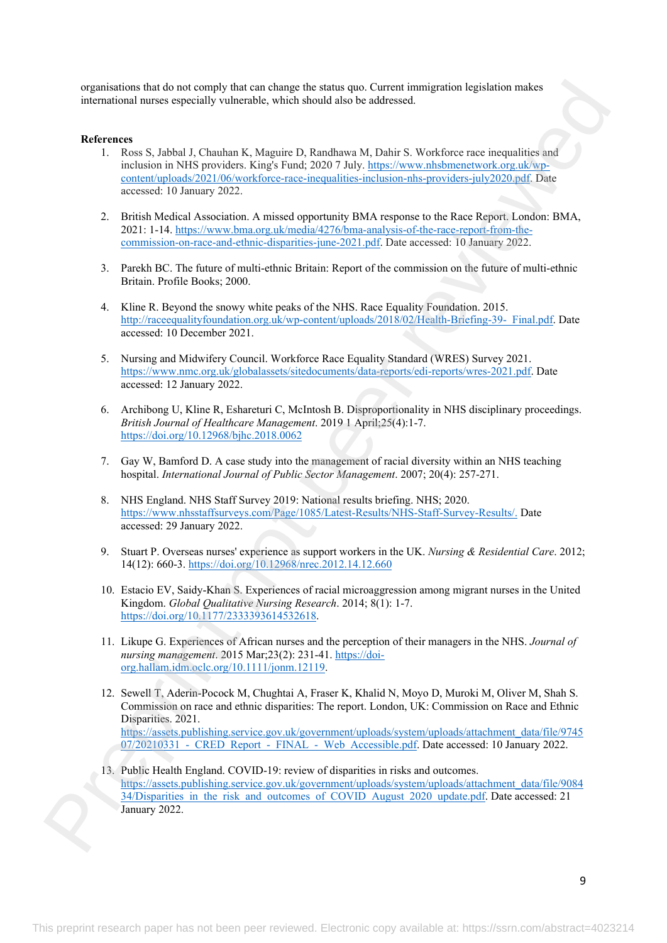organisations that do not comply that can change the status quo. Current immigration legislation makes international nurses especially vulnerable, which should also be addressed.

## **References**

- 1. Ross S, Jabbal J, Chauhan K, Maguire D, Randhawa M, Dahir S. Workforce race inequalities and inclusion in NHS providers. King's Fund; 2020 7 July. https://www.nhsbmenetwork.org.uk/wpcontent/uploads/2021/06/workforce-race-inequalities-inclusion-nhs-providers-july2020.pdf. Date accessed: 10 January 2022.
- 2. British Medical Association. A missed opportunity BMA response to the Race Report. London: BMA, 2021: 1-14. https://www.bma.org.uk/media/4276/bma-analysis-of-the-race-report-from-thecommission-on-race-and-ethnic-disparities-june-2021.pdf. Date accessed: 10 January 2022.
- 3. Parekh BC. The future of multi-ethnic Britain: Report of the commission on the future of multi-ethnic Britain. Profile Books; 2000.
- 4. Kline R. Beyond the snowy white peaks of the NHS. Race Equality Foundation. 2015. http://raceequalityfoundation.org.uk/wp-content/uploads/2018/02/Health-Briefing-39- Final.pdf. Date accessed: 10 December 2021.
- 5. Nursing and Midwifery Council. Workforce Race Equality Standard (WRES) Survey 2021. https://www.nmc.org.uk/globalassets/sitedocuments/data-reports/edi-reports/wres-2021.pdf. Date accessed: 12 January 2022.
- 6. Archibong U, Kline R, Eshareturi C, McIntosh B. Disproportionality in NHS disciplinary proceedings. *British Journal of Healthcare Management*. 2019 1 April;25(4):1-7. https://doi.org/10.12968/bjhc.2018.0062
- 7. Gay W, Bamford D. A case study into the management of racial diversity within an NHS teaching hospital. *International Journal of Public Sector Management*. 2007; 20(4): 257-271.
- 8. NHS England. NHS Staff Survey 2019: National results briefing. NHS; 2020. https://www.nhsstaffsurveys.com/Page/1085/Latest-Results/NHS-Staff-Survey-Results/. Date accessed: 29 January 2022.
- 9. Stuart P. Overseas nurses' experience as support workers in the UK. *Nursing & Residential Care*. 2012; 14(12): 660-3. https://doi.org/10.12968/nrec.2012.14.12.660
- 10. Estacio EV, Saidy-Khan S. Experiences of racial microaggression among migrant nurses in the United Kingdom. *Global Qualitative Nursing Research*. 2014; 8(1): 1-7. https://doi.org/10.1177/2333393614532618.
- 11. Likupe G. Experiences of African nurses and the perception of their managers in the NHS. *Journal of nursing management*. 2015 Mar;23(2): 231-41. https://doiorg.hallam.idm.oclc.org/10.1111/jonm.12119.
- 12. Sewell T, Aderin-Pocock M, Chughtai A, Fraser K, Khalid N, Moyo D, Muroki M, Oliver M, Shah S. Commission on race and ethnic disparities: The report. London, UK: Commission on Race and Ethnic Disparities. 2021. https://assets.publishing.service.gov.uk/government/uploads/system/uploads/attachment\_data/file/9745  $07/20210331$  - CRED Report - FINAL - Web Accessible.pdf. Date accessed: 10 January 2022. o[r](https://assets.publishing.service.gov.uk/government/uploads/system/uploads/attachment_data/file/908434/Disparities_in_the_risk_and_outcomes_of_COVID_August_2020_update.pdf)ganisms and also at constra[in](https://doi-org.hallam.idm.oclc.org/10.1111/jonm.12119)[t](https://doi.org/10.1177/2333393614532618) the matching the solone of Carolina matching and the matching of the solone of the solone of the solone of the solone of the solone of the solone of the solone of the solone of the solone
	- 13. Public Health England. COVID-19: review of disparities in risks and outcomes. https://assets.publishing.service.gov.uk/government/uploads/system/uploads/attachment\_data/file/9084 34/Disparities in the risk and outcomes of COVID August 2020 update.pdf. Date accessed: 21 January 2022.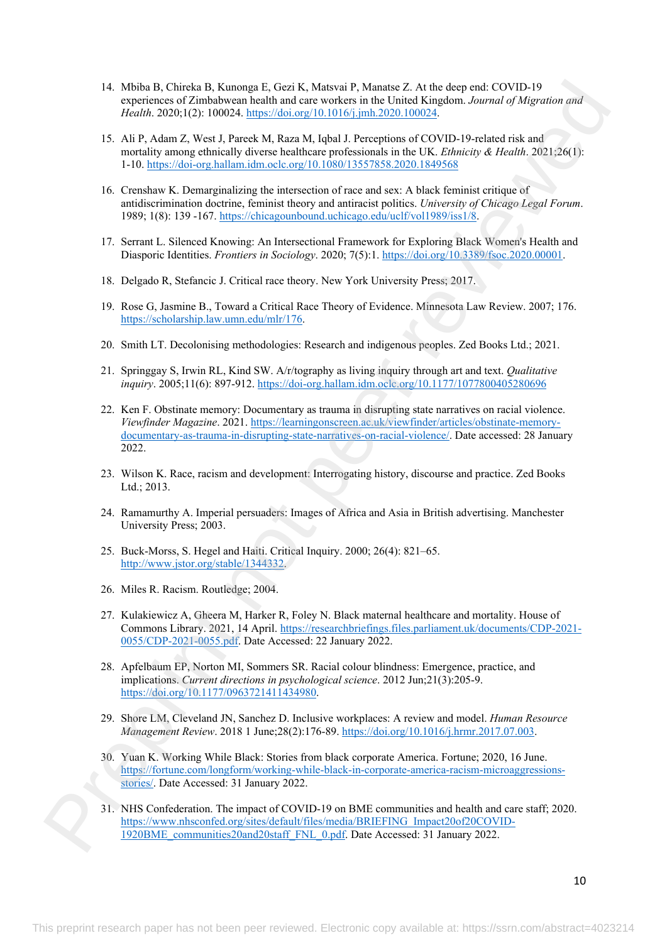- 14. Mbiba B, Chireka B, Kunonga E, Gezi K, Matsvai P, Manatse Z. At the deep end: COVID-19 experiences of Zimbabwean health and care workers in the United Kingdom. *Journal of Migration and Health*. 2020;1(2): 100024. https://doi.org/10.1016/j.jmh.2020.100024.
- 15. Ali P, Adam Z, West J, Pareek M, Raza M, Iqbal J. Perceptions of COVID-19-related risk and mortality among ethnically diverse healthcare professionals in the UK. *Ethnicity & Health*. 2021;26(1): 1-10. https://doi-org.hallam.idm.oclc.org/10.1080/13557858.2020.1849568
- 16. Crenshaw K. Demarginalizing the intersection of race and sex: A black feminist critique of antidiscrimination doctrine, feminist theory and antiracist politics. *University of Chicago Legal Forum*. 1989; 1(8): 139 -167. https://chicagounbound.uchicago.edu/uclf/vol1989/iss1/8.
- 17. Serrant L. Silenced Knowing: An Intersectional Framework for Exploring Black Women's Health and Diasporic Identities. *Frontiers in Sociology*. 2020; 7(5):1. https://doi.org/10.3389/fsoc.2020.00001.
- 18. Delgado R, Stefancic J. Critical race theory. New York University Press; 2017.
- 19. Rose G, Jasmine B., Toward a Critical Race Theory of Evidence. Minnesota Law Review. 2007; 176. https://scholarship.law.umn.edu/mlr/176.
- 20. Smith LT. Decolonising methodologies: Research and indigenous peoples. Zed Books Ltd.; 2021.
- 21. Springgay S, Irwin RL, Kind SW. A/r/tography as living inquiry through art and text. *Qualitative inquiry*. 2005;11(6): 897-912. https://doi-org.hallam.idm.oclc.org/10.1177/1077800405280696
- 22. Ken F. Obstinate memory: Documentary as trauma in disrupting state narratives on racial violence. *Viewfinder Magazine*. 2021. https://learningonscreen.ac.uk/viewfinder/articles/obstinate-memorydocumentary-as-trauma-in-disrupting-state-narratives-on-racial-violence/. Date accessed: 28 January 2022. 14. Mobile 3. Channel 14. Mobile 14. Chan Kohara 14. Mobile 2. All the close per reviewed by the 11. Mobile 2. All the co[nt](https://researchbriefings.files.parliament.uk/documents/CDP-2021-0055/CDP-2021-0055.pdf)rol of the 11. Mobile 2. All the control of the 11. Mobile 2. All the control of the 11. Mobile 2.
	- 23. Wilson K. Race, racism and development: Interrogating history, discourse and practice. Zed Books Ltd.; 2013.
	- 24. Ramamurthy A. Imperial persuaders: Images of Africa and Asia in British advertising. Manchester University Press; 2003.
	- 25. Buck-Morss, S. Hegel and Haiti. Critical Inquiry. 2000; 26(4): 821–65. http://www.jstor.org/stable/1344332.
	- 26. Miles R. Racism. Routledge; 2004.
	- 27. Kulakiewicz A, Gheera M, Harker R, Foley N. Black maternal healthcare and mortality. House of Commons Library. 2021, 14 April. https://researchbriefings.files.parliament.uk/documents/CDP-2021- 0055/CDP-2021-0055.pdf. Date Accessed: 22 January 2022.
	- 28. Apfelbaum EP, Norton MI, Sommers SR. Racial colour blindness: Emergence, practice, and implications. *Current directions in psychological science*. 2012 Jun;21(3):205-9. https://doi.org/10.1177/0963721411434980.
	- 29. Shore LM, Cleveland JN, Sanchez D. Inclusive workplaces: A review and model. *Human Resource Management Review*. 2018 1 June;28(2):176-89. https://doi.org/10.1016/j.hrmr.2017.07.003.
	- 30. Yuan K. Working While Black: Stories from black corporate America. Fortune; 2020, 16 June. https://fortune.com/longform/working-while-black-in-corporate-america-racism-microaggressionsstories/. Date Accessed: 31 January 2022.
	- 31. NHS Confederation. The impact of COVID-19 on BME communities and health and care staff; 2020. https://www.nhsconfed.org/sites/default/files/media/BRIEFING\_Impact20of20COVID-1920BME\_communities20and20staff\_FNL\_0.pdf. Date Accessed: 31 January 2022.